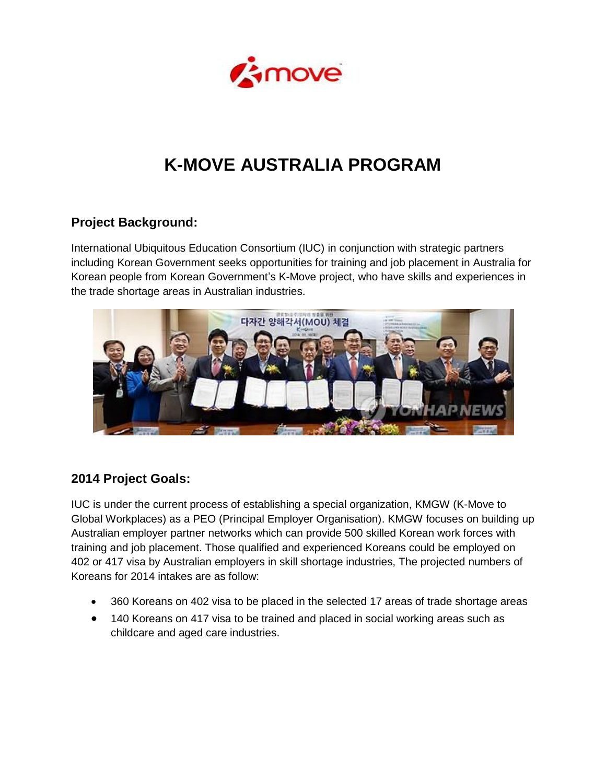

# **K-MOVE AUSTRALIA PROGRAM**

# **Project Background:**

International Ubiquitous Education Consortium (IUC) in conjunction with strategic partners including Korean Government seeks opportunities for training and job placement in Australia for Korean people from Korean Government's K-Move project, who have skills and experiences in the trade shortage areas in Australian industries.



#### **2014 Project Goals:**

IUC is under the current process of establishing a special organization, KMGW (K-Move to Global Workplaces) as a PEO (Principal Employer Organisation). KMGW focuses on building up Australian employer partner networks which can provide 500 skilled Korean work forces with training and job placement. Those qualified and experienced Koreans could be employed on 402 or 417 visa by Australian employers in skill shortage industries, The projected numbers of Koreans for 2014 intakes are as follow:

- 360 Koreans on 402 visa to be placed in the selected 17 areas of trade shortage areas
- 140 Koreans on 417 visa to be trained and placed in social working areas such as childcare and aged care industries.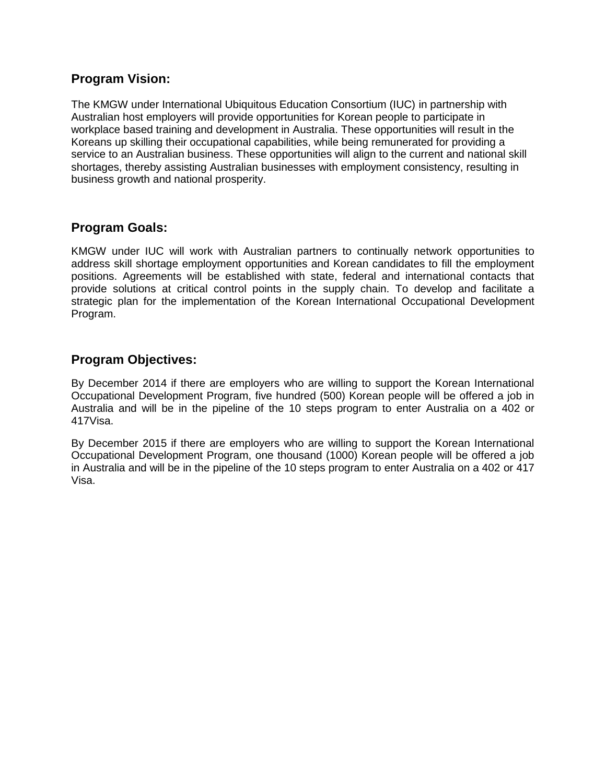#### **Program Vision:**

The KMGW under International Ubiquitous Education Consortium (IUC) in partnership with Australian host employers will provide opportunities for Korean people to participate in workplace based training and development in Australia. These opportunities will result in the Koreans up skilling their occupational capabilities, while being remunerated for providing a service to an Australian business. These opportunities will align to the current and national skill shortages, thereby assisting Australian businesses with employment consistency, resulting in business growth and national prosperity.

# **Program Goals:**

KMGW under IUC will work with Australian partners to continually network opportunities to address skill shortage employment opportunities and Korean candidates to fill the employment positions. Agreements will be established with state, federal and international contacts that provide solutions at critical control points in the supply chain. To develop and facilitate a strategic plan for the implementation of the Korean International Occupational Development Program.

#### **Program Objectives:**

By December 2014 if there are employers who are willing to support the Korean International Occupational Development Program, five hundred (500) Korean people will be offered a job in Australia and will be in the pipeline of the 10 steps program to enter Australia on a 402 or 417Visa.

By December 2015 if there are employers who are willing to support the Korean International Occupational Development Program, one thousand (1000) Korean people will be offered a job in Australia and will be in the pipeline of the 10 steps program to enter Australia on a 402 or 417 Visa.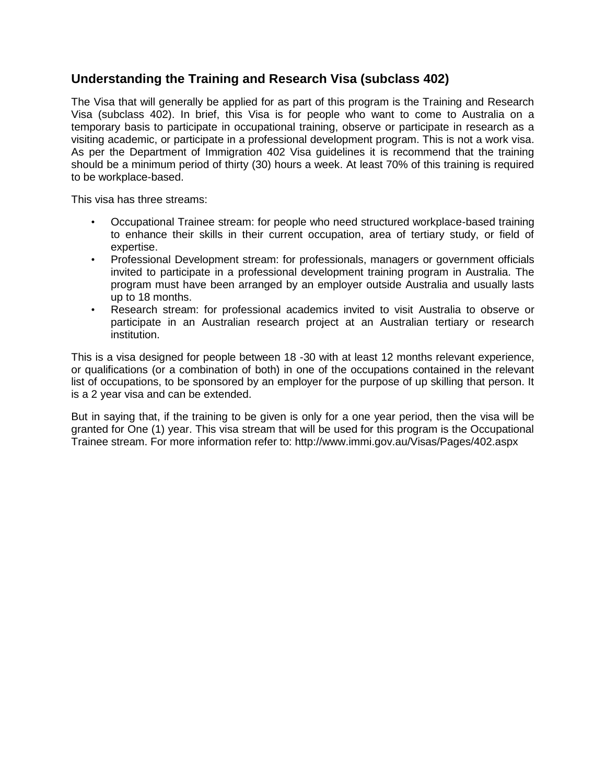### **Understanding the Training and Research Visa (subclass 402)**

The Visa that will generally be applied for as part of this program is the Training and Research Visa (subclass 402). In brief, this Visa is for people who want to come to Australia on a temporary basis to participate in occupational training, observe or participate in research as a visiting academic, or participate in a professional development program. This is not a work visa. As per the Department of Immigration 402 Visa guidelines it is recommend that the training should be a minimum period of thirty (30) hours a week. At least 70% of this training is required to be workplace-based.

This visa has three streams:

- Occupational Trainee stream: for people who need structured workplace-based training to enhance their skills in their current occupation, area of tertiary study, or field of expertise.
- Professional Development stream: for professionals, managers or government officials invited to participate in a professional development training program in Australia. The program must have been arranged by an employer outside Australia and usually lasts up to 18 months.
- Research stream: for professional academics invited to visit Australia to observe or participate in an Australian research project at an Australian tertiary or research institution.

This is a visa designed for people between 18 -30 with at least 12 months relevant experience, or qualifications (or a combination of both) in one of the occupations contained in the relevant list of occupations, to be sponsored by an employer for the purpose of up skilling that person. It is a 2 year visa and can be extended.

But in saying that, if the training to be given is only for a one year period, then the visa will be granted for One (1) year. This visa stream that will be used for this program is the Occupational Trainee stream. For more information refer to: http://www.immi.gov.au/Visas/Pages/402.aspx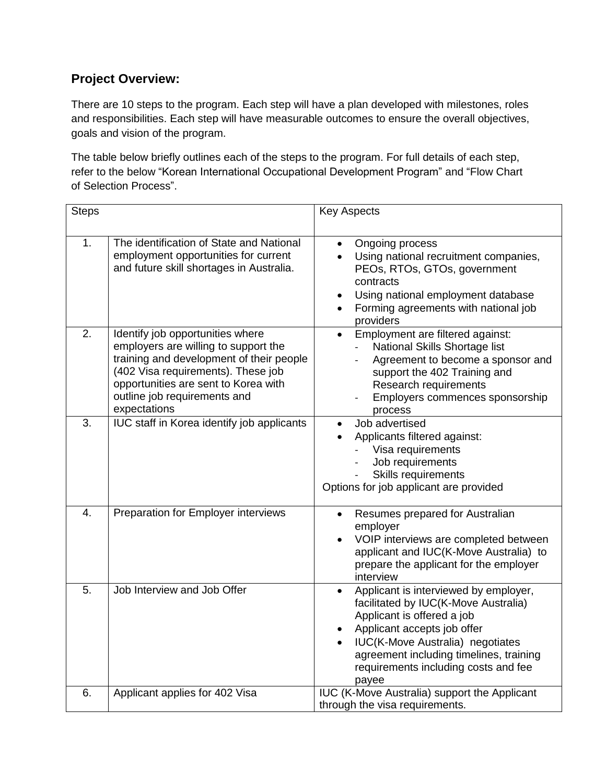# **Project Overview:**

There are 10 steps to the program. Each step will have a plan developed with milestones, roles and responsibilities. Each step will have measurable outcomes to ensure the overall objectives, goals and vision of the program.

The table below briefly outlines each of the steps to the program. For full details of each step, refer to the below "Korean International Occupational Development Program" and "Flow Chart of Selection Process".

| <b>Steps</b> |                                                                                                                                                                                                                                                    | <b>Key Aspects</b>                                                                                                                                                                                                                                                                      |
|--------------|----------------------------------------------------------------------------------------------------------------------------------------------------------------------------------------------------------------------------------------------------|-----------------------------------------------------------------------------------------------------------------------------------------------------------------------------------------------------------------------------------------------------------------------------------------|
| 1.           | The identification of State and National<br>employment opportunities for current<br>and future skill shortages in Australia.                                                                                                                       | Ongoing process<br>$\bullet$<br>Using national recruitment companies,<br>PEOs, RTOs, GTOs, government<br>contracts<br>Using national employment database<br>$\bullet$<br>Forming agreements with national job<br>$\bullet$<br>providers                                                 |
| 2.           | Identify job opportunities where<br>employers are willing to support the<br>training and development of their people<br>(402 Visa requirements). These job<br>opportunities are sent to Korea with<br>outline job requirements and<br>expectations | Employment are filtered against:<br>$\bullet$<br>National Skills Shortage list<br>Agreement to become a sponsor and<br>support the 402 Training and<br>Research requirements<br>Employers commences sponsorship<br>process                                                              |
| 3.           | IUC staff in Korea identify job applicants                                                                                                                                                                                                         | Job advertised<br>$\bullet$<br>Applicants filtered against:<br>Visa requirements<br>Job requirements<br><b>Skills requirements</b><br>Options for job applicant are provided                                                                                                            |
| 4.           | Preparation for Employer interviews                                                                                                                                                                                                                | Resumes prepared for Australian<br>$\bullet$<br>employer<br>VOIP interviews are completed between<br>$\bullet$<br>applicant and IUC(K-Move Australia) to<br>prepare the applicant for the employer<br>interview                                                                         |
| 5.           | Job Interview and Job Offer                                                                                                                                                                                                                        | Applicant is interviewed by employer,<br>facilitated by IUC(K-Move Australia)<br>Applicant is offered a job<br>Applicant accepts job offer<br>IUC(K-Move Australia) negotiates<br>$\bullet$<br>agreement including timelines, training<br>requirements including costs and fee<br>payee |
| 6.           | Applicant applies for 402 Visa                                                                                                                                                                                                                     | IUC (K-Move Australia) support the Applicant<br>through the visa requirements.                                                                                                                                                                                                          |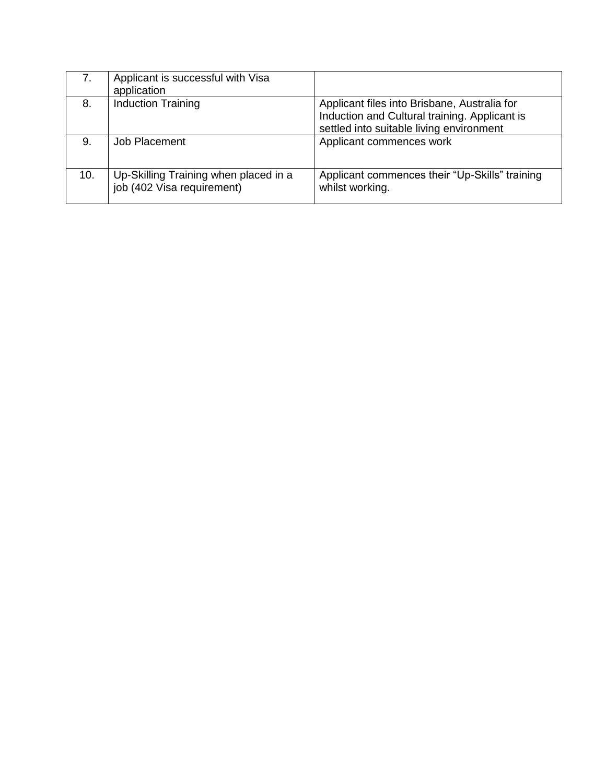|     | Applicant is successful with Visa<br>application                    |                                                                                                                                           |
|-----|---------------------------------------------------------------------|-------------------------------------------------------------------------------------------------------------------------------------------|
| 8.  | <b>Induction Training</b>                                           | Applicant files into Brisbane, Australia for<br>Induction and Cultural training. Applicant is<br>settled into suitable living environment |
| 9.  | Job Placement                                                       | Applicant commences work                                                                                                                  |
| 10. | Up-Skilling Training when placed in a<br>job (402 Visa requirement) | Applicant commences their "Up-Skills" training<br>whilst working.                                                                         |